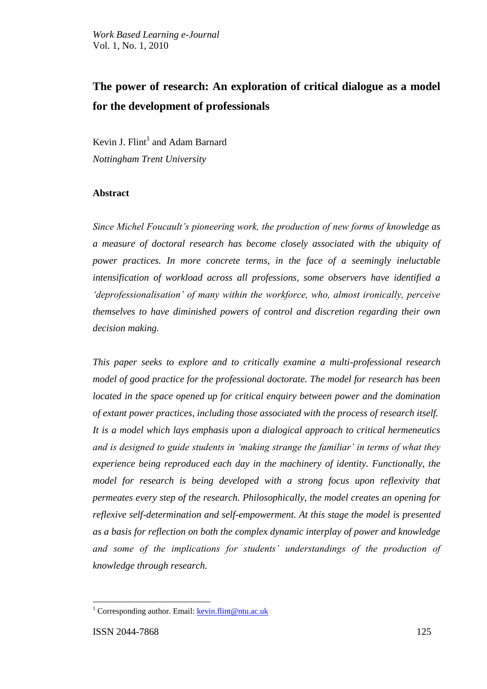# **The power of research: An exploration of critical dialogue as a model for the development of professionals**

Kevin J. Flint<sup>1</sup> and Adam Barnard *Nottingham Trent University*

# **Abstract**

*Since Michel Foucault's pioneering work, the production of new forms of knowledge as a measure of doctoral research has become closely associated with the ubiquity of power practices. In more concrete terms, in the face of a seemingly ineluctable intensification of workload across all professions, some observers have identified a 'deprofessionalisation' of many within the workforce, who, almost ironically, perceive themselves to have diminished powers of control and discretion regarding their own decision making.* 

*This paper seeks to explore and to critically examine a multi-professional research model of good practice for the professional doctorate. The model for research has been located in the space opened up for critical enquiry between power and the domination of extant power practices, including those associated with the process of research itself. It is a model which lays emphasis upon a dialogical approach to critical hermeneutics and is designed to guide students in 'making strange the familiar' in terms of what they experience being reproduced each day in the machinery of identity. Functionally, the model for research is being developed with a strong focus upon reflexivity that permeates every step of the research. Philosophically, the model creates an opening for reflexive self-determination and self-empowerment. At this stage the model is presented as a basis for reflection on both the complex dynamic interplay of power and knowledge and some of the implications for students' understandings of the production of knowledge through research.* 

<sup>&</sup>lt;sup>1</sup> Corresponding author. Email:  $\frac{\text{kevin}}{\text{Hint}}$  mu.ac.uk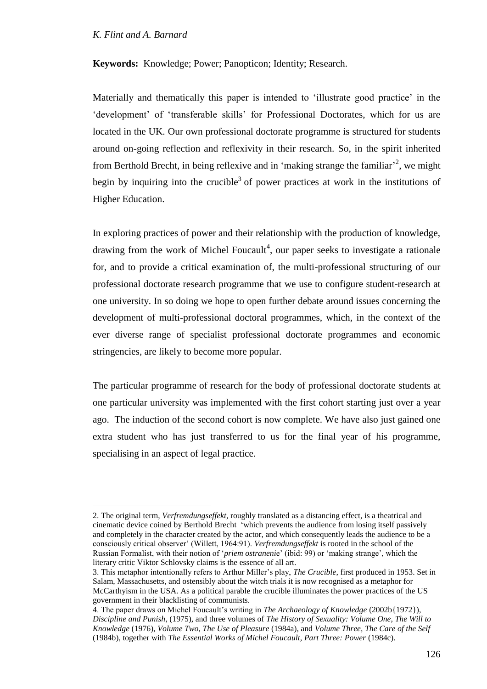$\overline{a}$ 

**Keywords:** Knowledge; Power; Panopticon; Identity; Research.

Materially and thematically this paper is intended to 'illustrate good practice' in the 'development' of 'transferable skills' for Professional Doctorates, which for us are located in the UK. Our own professional doctorate programme is structured for students around on-going reflection and reflexivity in their research. So, in the spirit inherited from Berthold Brecht, in being reflexive and in 'making strange the familiar'<sup>2</sup>, we might begin by inquiring into the crucible<sup>3</sup> of power practices at work in the institutions of Higher Education.

In exploring practices of power and their relationship with the production of knowledge, drawing from the work of Michel Foucault<sup>4</sup>, our paper seeks to investigate a rationale for, and to provide a critical examination of, the multi-professional structuring of our professional doctorate research programme that we use to configure student-research at one university. In so doing we hope to open further debate around issues concerning the development of multi-professional doctoral programmes, which, in the context of the ever diverse range of specialist professional doctorate programmes and economic stringencies, are likely to become more popular.

The particular programme of research for the body of professional doctorate students at one particular university was implemented with the first cohort starting just over a year ago. The induction of the second cohort is now complete. We have also just gained one extra student who has just transferred to us for the final year of his programme, specialising in an aspect of legal practice.

<sup>2.</sup> The original term, *Verfremdungseffekt*, roughly translated as a distancing effect, is a theatrical and cinematic device coined by Berthold Brecht "which prevents the audience from losing itself passively and completely in the character created by the actor, and which consequently leads the audience to be a consciously critical observer" (Willett, 1964:91). *Verfremdungseffekt* is rooted in the school of the Russian Formalist, with their notion of "*priem ostraneni*e" (ibid: 99) or "making strange", which the literary critic Viktor Schlovsky claims is the essence of all art.

<sup>3.</sup> This metaphor intentionally refers to Arthur Miller"s play, *The Crucible*, first produced in 1953. Set in Salam, Massachusetts, and ostensibly about the witch trials it is now recognised as a metaphor for McCarthyism in the USA. As a political parable the crucible illuminates the power practices of the US government in their blacklisting of communists.

<sup>4.</sup> The paper draws on Michel Foucault"s writing in *The Archaeology of Knowledge* (2002b{1972}), *Discipline and Punish*, (1975), and three volumes of *The History of Sexuality: Volume One, The Will to Knowledge* (1976), *Volume Two, The Use of Pleasure* (1984a), and *Volume Three, The Care of the Self* (1984b), together with *The Essential Works of Michel Foucault, Part Three: Power* (1984c).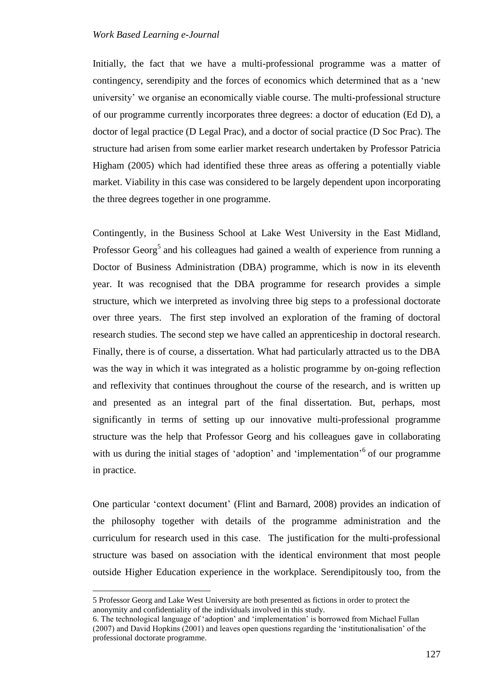Initially, the fact that we have a multi-professional programme was a matter of contingency, serendipity and the forces of economics which determined that as a "new university" we organise an economically viable course. The multi-professional structure of our programme currently incorporates three degrees: a doctor of education (Ed D), a doctor of legal practice (D Legal Prac), and a doctor of social practice (D Soc Prac). The structure had arisen from some earlier market research undertaken by Professor Patricia Higham (2005) which had identified these three areas as offering a potentially viable market. Viability in this case was considered to be largely dependent upon incorporating the three degrees together in one programme.

Contingently, in the Business School at Lake West University in the East Midland, Professor Georg<sup>5</sup> and his colleagues had gained a wealth of experience from running a Doctor of Business Administration (DBA) programme, which is now in its eleventh year. It was recognised that the DBA programme for research provides a simple structure, which we interpreted as involving three big steps to a professional doctorate over three years. The first step involved an exploration of the framing of doctoral research studies. The second step we have called an apprenticeship in doctoral research. Finally, there is of course, a dissertation. What had particularly attracted us to the DBA was the way in which it was integrated as a holistic programme by on-going reflection and reflexivity that continues throughout the course of the research, and is written up and presented as an integral part of the final dissertation. But, perhaps, most significantly in terms of setting up our innovative multi-professional programme structure was the help that Professor Georg and his colleagues gave in collaborating with us during the initial stages of 'adoption' and 'implementation'<sup>6</sup> of our programme in practice.

One particular "context document" (Flint and Barnard, 2008) provides an indication of the philosophy together with details of the programme administration and the curriculum for research used in this case. The justification for the multi-professional structure was based on association with the identical environment that most people outside Higher Education experience in the workplace. Serendipitously too, from the

<sup>5</sup> Professor Georg and Lake West University are both presented as fictions in order to protect the anonymity and confidentiality of the individuals involved in this study.

<sup>6.</sup> The technological language of "adoption" and "implementation" is borrowed from Michael Fullan (2007) and David Hopkins (2001) and leaves open questions regarding the "institutionalisation" of the professional doctorate programme.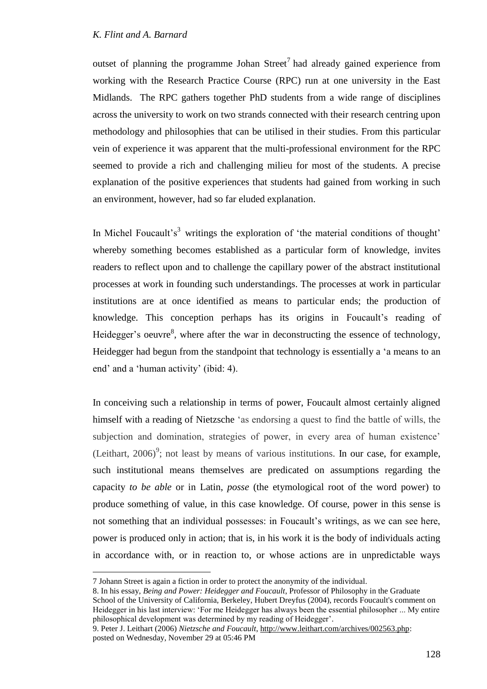outset of planning the programme Johan Street<sup>7</sup> had already gained experience from working with the Research Practice Course (RPC) run at one university in the East Midlands. The RPC gathers together PhD students from a wide range of disciplines across the university to work on two strands connected with their research centring upon methodology and philosophies that can be utilised in their studies. From this particular vein of experience it was apparent that the multi-professional environment for the RPC seemed to provide a rich and challenging milieu for most of the students. A precise explanation of the positive experiences that students had gained from working in such an environment, however, had so far eluded explanation.

In Michel Foucault's<sup>3</sup> writings the exploration of 'the material conditions of thought' whereby something becomes established as a particular form of knowledge, invites readers to reflect upon and to challenge the capillary power of the abstract institutional processes at work in founding such understandings. The processes at work in particular institutions are at once identified as means to particular ends; the production of knowledge. This conception perhaps has its origins in Foucault's reading of Heidegger's oeuvre<sup>8</sup>, where after the war in deconstructing the essence of technology, Heidegger had begun from the standpoint that technology is essentially a 'a means to an end' and a 'human activity' (ibid: 4).

In conceiving such a relationship in terms of power, Foucault almost certainly aligned himself with a reading of Nietzsche "as endorsing a quest to find the battle of wills, the subjection and domination, strategies of power, in every area of human existence' (Leithart,  $2006$ <sup>9</sup>; not least by means of various institutions. In our case, for example, such institutional means themselves are predicated on assumptions regarding the capacity *to be able* or in Latin, *posse* (the etymological root of the word power) to produce something of value, in this case knowledge. Of course, power in this sense is not something that an individual possesses: in Foucault"s writings, as we can see here, power is produced only in action; that is, in his work it is the body of individuals acting in accordance with, or in reaction to, or whose actions are in unpredictable ways

<sup>7</sup> Johann Street is again a fiction in order to protect the anonymity of the individual.

<sup>8.</sup> In his essay, *Being and Power: Heidegger and Foucault*, Professor of Philosophy in the Graduate School of the University of California, Berkeley, Hubert Dreyfus (2004), records Foucault's comment on Heidegger in his last interview: "For me Heidegger has always been the essential philosopher ... My entire philosophical development was determined by my reading of Heidegger'.

<sup>9.</sup> Peter J. Leithart (2006) *Nietzsche and Foucault*, [http://www.leithart.com/archives/002563.php:](http://www.leithart.com/archives/002563.php) posted on Wednesday, November 29 at 05:46 PM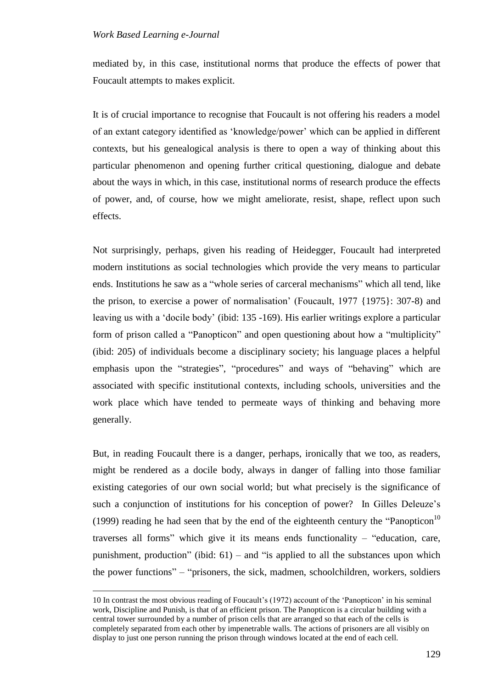$\overline{a}$ 

mediated by, in this case, institutional norms that produce the effects of power that Foucault attempts to makes explicit.

It is of crucial importance to recognise that Foucault is not offering his readers a model of an extant category identified as "knowledge/power" which can be applied in different contexts, but his genealogical analysis is there to open a way of thinking about this particular phenomenon and opening further critical questioning, dialogue and debate about the ways in which, in this case, institutional norms of research produce the effects of power, and, of course, how we might ameliorate, resist, shape, reflect upon such effects.

Not surprisingly, perhaps, given his reading of Heidegger, Foucault had interpreted modern institutions as social technologies which provide the very means to particular ends. Institutions he saw as a "whole series of carceral mechanisms" which all tend, like the prison, to exercise a power of normalisation" (Foucault, 1977 {1975}: 307-8) and leaving us with a "docile body" (ibid: 135 -169). His earlier writings explore a particular form of prison called a "Panopticon" and open questioning about how a "multiplicity" (ibid: 205) of individuals become a disciplinary society; his language places a helpful emphasis upon the "strategies", "procedures" and ways of "behaving" which are associated with specific institutional contexts, including schools, universities and the work place which have tended to permeate ways of thinking and behaving more generally.

But, in reading Foucault there is a danger, perhaps, ironically that we too, as readers, might be rendered as a docile body, always in danger of falling into those familiar existing categories of our own social world; but what precisely is the significance of such a conjunction of institutions for his conception of power? In Gilles Deleuze's (1999) reading he had seen that by the end of the eighteenth century the "Panopticon<sup>10</sup> traverses all forms" which give it its means ends functionality – "education, care, punishment, production" (ibid:  $61$ ) – and "is applied to all the substances upon which the power functions" – "prisoners, the sick, madmen, schoolchildren, workers, soldiers

<sup>10</sup> In contrast the most obvious reading of Foucault"s (1972) account of the "Panopticon" in his seminal work, Discipline and Punish, is that of an efficient prison. The Panopticon is a circular building with a central tower surrounded by a number of prison cells that are arranged so that each of the cells is completely separated from each other by impenetrable walls. The actions of prisoners are all visibly on display to just one person running the prison through windows located at the end of each cell.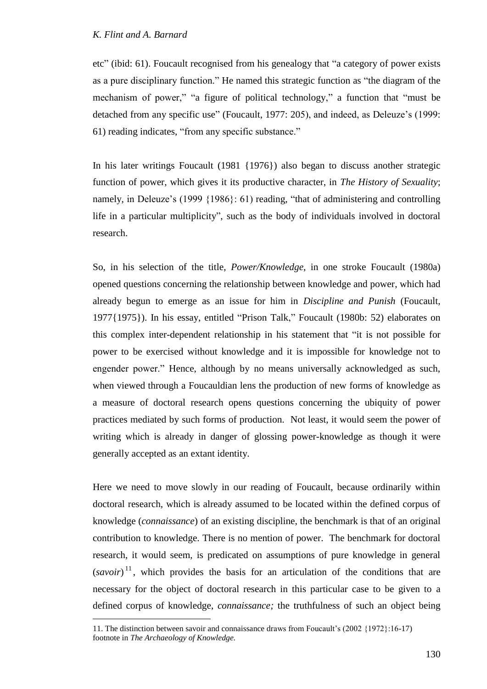$\overline{a}$ 

etc" (ibid: 61). Foucault recognised from his genealogy that "a category of power exists as a pure disciplinary function." He named this strategic function as "the diagram of the mechanism of power," "a figure of political technology," a function that "must be detached from any specific use" (Foucault, 1977: 205), and indeed, as Deleuze's (1999: 61) reading indicates, "from any specific substance."

In his later writings Foucault (1981 {1976}) also began to discuss another strategic function of power, which gives it its productive character, in *The History of Sexuality*; namely, in Deleuze's (1999 {1986}: 61) reading, "that of administering and controlling life in a particular multiplicity", such as the body of individuals involved in doctoral research.

So, in his selection of the title, *Power/Knowledge*, in one stroke Foucault (1980a) opened questions concerning the relationship between knowledge and power, which had already begun to emerge as an issue for him in *Discipline and Punish* (Foucault, 1977{1975}). In his essay, entitled "Prison Talk," Foucault (1980b: 52) elaborates on this complex inter-dependent relationship in his statement that "it is not possible for power to be exercised without knowledge and it is impossible for knowledge not to engender power." Hence, although by no means universally acknowledged as such, when viewed through a Foucauldian lens the production of new forms of knowledge as a measure of doctoral research opens questions concerning the ubiquity of power practices mediated by such forms of production. Not least, it would seem the power of writing which is already in danger of glossing power-knowledge as though it were generally accepted as an extant identity.

Here we need to move slowly in our reading of Foucault, because ordinarily within doctoral research, which is already assumed to be located within the defined corpus of knowledge (*connaissance*) of an existing discipline, the benchmark is that of an original contribution to knowledge. There is no mention of power. The benchmark for doctoral research, it would seem, is predicated on assumptions of pure knowledge in general  $(savoir)^{11}$ , which provides the basis for an articulation of the conditions that are necessary for the object of doctoral research in this particular case to be given to a defined corpus of knowledge, *connaissance;* the truthfulness of such an object being

<sup>11.</sup> The distinction between savoir and connaissance draws from Foucault"s (2002 {1972}:16-17) footnote in *The Archaeology of Knowledge.*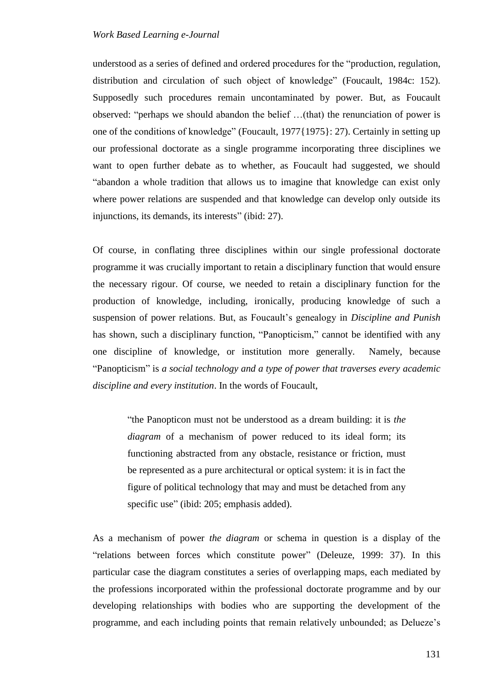understood as a series of defined and ordered procedures for the "production, regulation, distribution and circulation of such object of knowledge" (Foucault, 1984c: 152). Supposedly such procedures remain uncontaminated by power. But, as Foucault observed: "perhaps we should abandon the belief …(that) the renunciation of power is one of the conditions of knowledge" (Foucault, 1977{1975}: 27). Certainly in setting up our professional doctorate as a single programme incorporating three disciplines we want to open further debate as to whether, as Foucault had suggested, we should "abandon a whole tradition that allows us to imagine that knowledge can exist only where power relations are suspended and that knowledge can develop only outside its injunctions, its demands, its interests" (ibid: 27).

Of course, in conflating three disciplines within our single professional doctorate programme it was crucially important to retain a disciplinary function that would ensure the necessary rigour. Of course, we needed to retain a disciplinary function for the production of knowledge, including, ironically, producing knowledge of such a suspension of power relations. But, as Foucault's genealogy in *Discipline and Punish* has shown, such a disciplinary function, "Panopticism," cannot be identified with any one discipline of knowledge, or institution more generally. Namely, because "Panopticism" is *a social technology and a type of power that traverses every academic discipline and every institution*. In the words of Foucault,

"the Panopticon must not be understood as a dream building: it is *the diagram* of a mechanism of power reduced to its ideal form; its functioning abstracted from any obstacle, resistance or friction, must be represented as a pure architectural or optical system: it is in fact the figure of political technology that may and must be detached from any specific use" (ibid: 205; emphasis added).

As a mechanism of power *the diagram* or schema in question is a display of the "relations between forces which constitute power" (Deleuze, 1999: 37). In this particular case the diagram constitutes a series of overlapping maps, each mediated by the professions incorporated within the professional doctorate programme and by our developing relationships with bodies who are supporting the development of the programme, and each including points that remain relatively unbounded; as Delueze"s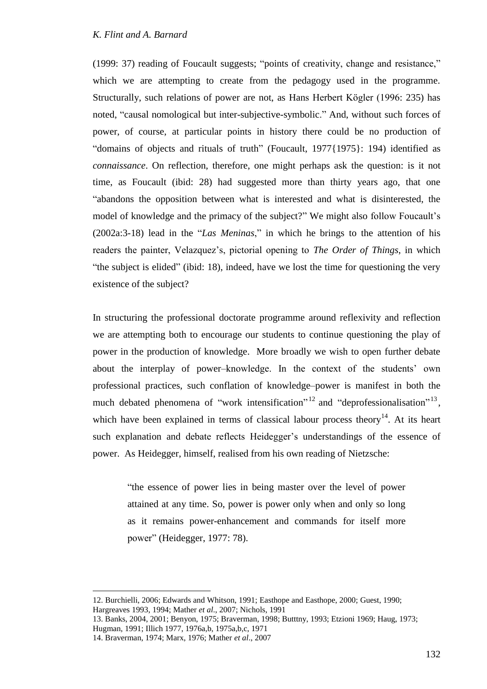(1999: 37) reading of Foucault suggests; "points of creativity, change and resistance," which we are attempting to create from the pedagogy used in the programme. Structurally, such relations of power are not, as Hans Herbert Kögler (1996: 235) has noted, "causal nomological but inter-subjective-symbolic." And, without such forces of power, of course, at particular points in history there could be no production of "domains of objects and rituals of truth" (Foucault, 1977{1975}: 194) identified as *connaissance*. On reflection, therefore, one might perhaps ask the question: is it not time, as Foucault (ibid: 28) had suggested more than thirty years ago, that one "abandons the opposition between what is interested and what is disinterested, the model of knowledge and the primacy of the subject?" We might also follow Foucault's (2002a:3-18) lead in the "*Las Meninas*," in which he brings to the attention of his readers the painter, Velazquez"s, pictorial opening to *The Order of Things*, in which "the subject is elided" (ibid: 18), indeed, have we lost the time for questioning the very existence of the subject?

In structuring the professional doctorate programme around reflexivity and reflection we are attempting both to encourage our students to continue questioning the play of power in the production of knowledge. More broadly we wish to open further debate about the interplay of power–knowledge. In the context of the students" own professional practices, such conflation of knowledge–power is manifest in both the much debated phenomena of "work intensification"<sup>12</sup> and "deprofessionalisation"<sup>13</sup>, which have been explained in terms of classical labour process theory<sup>14</sup>. At its heart such explanation and debate reflects Heidegger's understandings of the essence of power. As Heidegger, himself, realised from his own reading of Nietzsche:

"the essence of power lies in being master over the level of power attained at any time. So, power is power only when and only so long as it remains power-enhancement and commands for itself more power" (Heidegger, 1977: 78).

13. Banks, 2004, 2001; Benyon, 1975; Braverman, 1998; Butttny, 1993; Etzioni 1969; Haug, 1973; Hugman, 1991; Illich 1977, 1976a,b, 1975a,b,c, 1971

<sup>12.</sup> Burchielli, 2006; Edwards and Whitson, 1991; Easthope and Easthope, 2000; Guest, 1990; Hargreaves 1993, 1994; Mather *et al*., 2007; Nichols, 1991

<sup>14.</sup> Braverman, 1974; Marx, 1976; Mather *et al*., 2007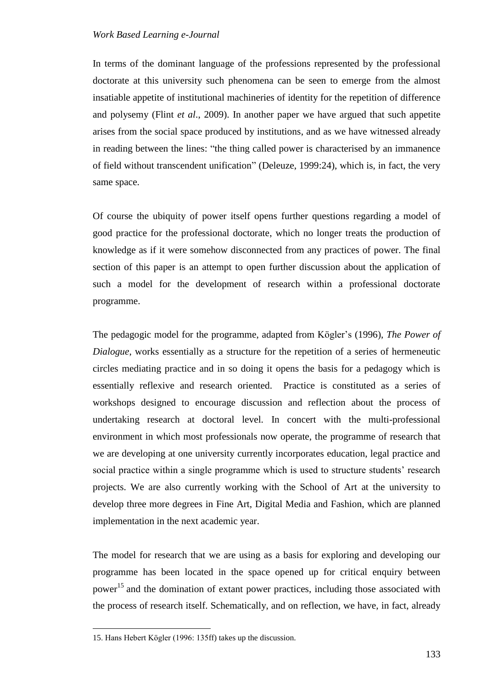In terms of the dominant language of the professions represented by the professional doctorate at this university such phenomena can be seen to emerge from the almost insatiable appetite of institutional machineries of identity for the repetition of difference and polysemy (Flint *et al*., 2009). In another paper we have argued that such appetite arises from the social space produced by institutions, and as we have witnessed already in reading between the lines: "the thing called power is characterised by an immanence of field without transcendent unification" (Deleuze, 1999:24), which is, in fact, the very same space.

Of course the ubiquity of power itself opens further questions regarding a model of good practice for the professional doctorate, which no longer treats the production of knowledge as if it were somehow disconnected from any practices of power. The final section of this paper is an attempt to open further discussion about the application of such a model for the development of research within a professional doctorate programme.

The pedagogic model for the programme, adapted from Kögler"s (1996), *The Power of Dialogue*, works essentially as a structure for the repetition of a series of hermeneutic circles mediating practice and in so doing it opens the basis for a pedagogy which is essentially reflexive and research oriented. Practice is constituted as a series of workshops designed to encourage discussion and reflection about the process of undertaking research at doctoral level. In concert with the multi-professional environment in which most professionals now operate, the programme of research that we are developing at one university currently incorporates education, legal practice and social practice within a single programme which is used to structure students' research projects. We are also currently working with the School of Art at the university to develop three more degrees in Fine Art, Digital Media and Fashion, which are planned implementation in the next academic year.

The model for research that we are using as a basis for exploring and developing our programme has been located in the space opened up for critical enquiry between power<sup>15</sup> and the domination of extant power practices, including those associated with the process of research itself. Schematically, and on reflection, we have, in fact, already

<sup>15.</sup> Hans Hebert Kögler (1996: 135ff) takes up the discussion.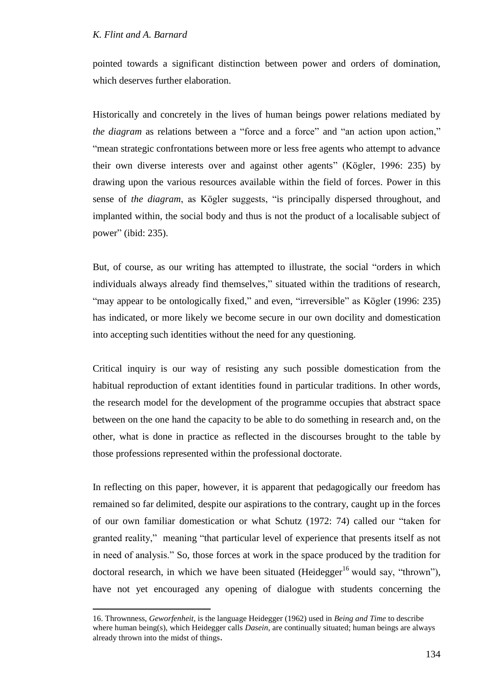$\overline{a}$ 

pointed towards a significant distinction between power and orders of domination, which deserves further elaboration.

Historically and concretely in the lives of human beings power relations mediated by *the diagram* as relations between a "force and a force" and "an action upon action," "mean strategic confrontations between more or less free agents who attempt to advance their own diverse interests over and against other agents" (Kögler, 1996: 235) by drawing upon the various resources available within the field of forces. Power in this sense of *the diagram*, as Kögler suggests, "is principally dispersed throughout, and implanted within, the social body and thus is not the product of a localisable subject of power" (ibid: 235).

But, of course, as our writing has attempted to illustrate, the social "orders in which individuals always already find themselves," situated within the traditions of research, "may appear to be ontologically fixed," and even, "irreversible" as Kögler (1996: 235) has indicated, or more likely we become secure in our own docility and domestication into accepting such identities without the need for any questioning.

Critical inquiry is our way of resisting any such possible domestication from the habitual reproduction of extant identities found in particular traditions. In other words, the research model for the development of the programme occupies that abstract space between on the one hand the capacity to be able to do something in research and, on the other, what is done in practice as reflected in the discourses brought to the table by those professions represented within the professional doctorate.

In reflecting on this paper, however, it is apparent that pedagogically our freedom has remained so far delimited, despite our aspirations to the contrary, caught up in the forces of our own familiar domestication or what Schutz (1972: 74) called our "taken for granted reality," meaning "that particular level of experience that presents itself as not in need of analysis." So, those forces at work in the space produced by the tradition for doctoral research, in which we have been situated (Heidegger<sup>16</sup> would say, "thrown"), have not yet encouraged any opening of dialogue with students concerning the

<sup>16.</sup> Thrownness, *Geworfenheit*, is the language Heidegger (1962) used in *Being and Time* to describe where human being(s), which Heidegger calls *Dasein*, are continually situated; human beings are always already thrown into the midst of things.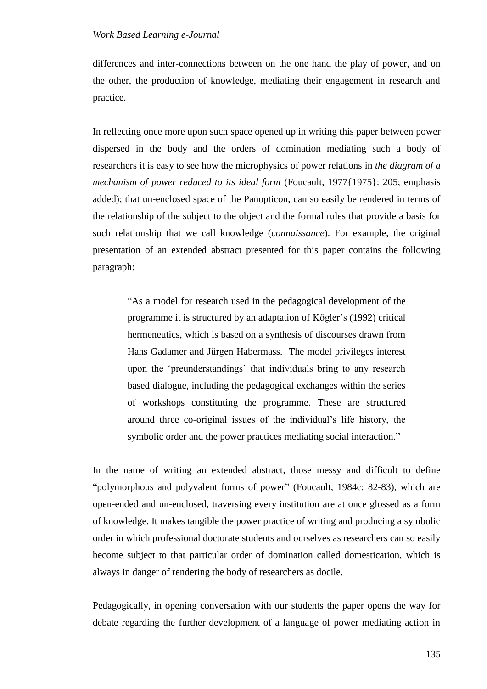differences and inter-connections between on the one hand the play of power, and on the other, the production of knowledge, mediating their engagement in research and practice.

In reflecting once more upon such space opened up in writing this paper between power dispersed in the body and the orders of domination mediating such a body of researchers it is easy to see how the microphysics of power relations in *the diagram of a mechanism of power reduced to its ideal form* (Foucault, 1977{1975}: 205; emphasis added); that un-enclosed space of the Panopticon, can so easily be rendered in terms of the relationship of the subject to the object and the formal rules that provide a basis for such relationship that we call knowledge (*connaissance*). For example, the original presentation of an extended abstract presented for this paper contains the following paragraph:

"As a model for research used in the pedagogical development of the programme it is structured by an adaptation of Kögler"s (1992) critical hermeneutics, which is based on a synthesis of discourses drawn from Hans Gadamer and Jürgen Habermass. The model privileges interest upon the "preunderstandings" that individuals bring to any research based dialogue, including the pedagogical exchanges within the series of workshops constituting the programme. These are structured around three co-original issues of the individual"s life history, the symbolic order and the power practices mediating social interaction."

In the name of writing an extended abstract, those messy and difficult to define "polymorphous and polyvalent forms of power" (Foucault, 1984c: 82-83), which are open-ended and un-enclosed, traversing every institution are at once glossed as a form of knowledge. It makes tangible the power practice of writing and producing a symbolic order in which professional doctorate students and ourselves as researchers can so easily become subject to that particular order of domination called domestication, which is always in danger of rendering the body of researchers as docile.

Pedagogically, in opening conversation with our students the paper opens the way for debate regarding the further development of a language of power mediating action in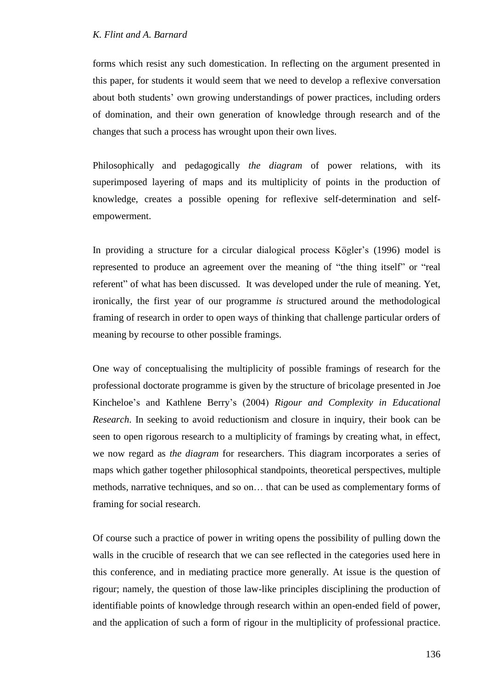forms which resist any such domestication. In reflecting on the argument presented in this paper, for students it would seem that we need to develop a reflexive conversation about both students" own growing understandings of power practices, including orders of domination, and their own generation of knowledge through research and of the changes that such a process has wrought upon their own lives.

Philosophically and pedagogically *the diagram* of power relations, with its superimposed layering of maps and its multiplicity of points in the production of knowledge, creates a possible opening for reflexive self-determination and selfempowerment.

In providing a structure for a circular dialogical process Kögler's (1996) model is represented to produce an agreement over the meaning of "the thing itself" or "real referent" of what has been discussed. It was developed under the rule of meaning. Yet, ironically, the first year of our programme *is* structured around the methodological framing of research in order to open ways of thinking that challenge particular orders of meaning by recourse to other possible framings.

One way of conceptualising the multiplicity of possible framings of research for the professional doctorate programme is given by the structure of bricolage presented in Joe Kincheloe"s and Kathlene Berry"s (2004) *Rigour and Complexity in Educational Research*. In seeking to avoid reductionism and closure in inquiry, their book can be seen to open rigorous research to a multiplicity of framings by creating what, in effect, we now regard as *the diagram* for researchers. This diagram incorporates a series of maps which gather together philosophical standpoints, theoretical perspectives, multiple methods, narrative techniques, and so on… that can be used as complementary forms of framing for social research.

Of course such a practice of power in writing opens the possibility of pulling down the walls in the crucible of research that we can see reflected in the categories used here in this conference, and in mediating practice more generally. At issue is the question of rigour; namely, the question of those law-like principles disciplining the production of identifiable points of knowledge through research within an open-ended field of power, and the application of such a form of rigour in the multiplicity of professional practice.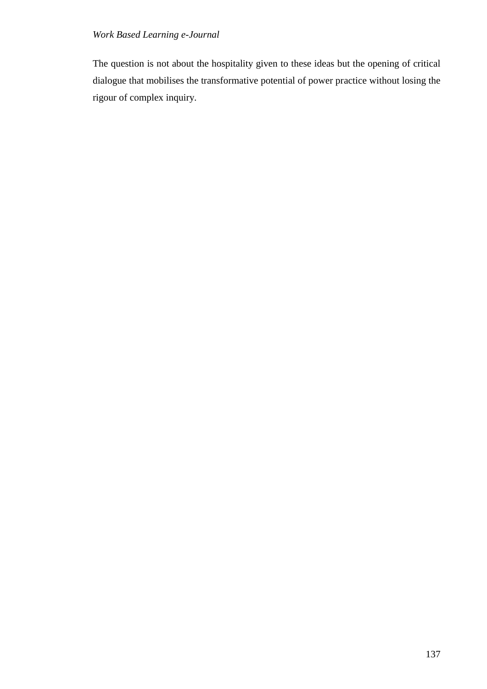The question is not about the hospitality given to these ideas but the opening of critical dialogue that mobilises the transformative potential of power practice without losing the rigour of complex inquiry.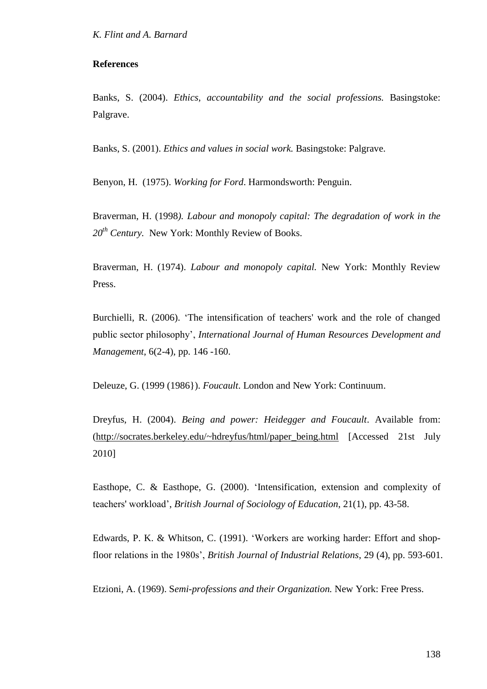### **References**

Banks, S. (2004). *Ethics, accountability and the social professions.* Basingstoke: Palgrave.

Banks, S. (2001). *Ethics and values in social work.* Basingstoke: Palgrave.

Benyon, H. (1975). *Working for Ford*. Harmondsworth: Penguin.

Braverman, H. (1998*). Labour and monopoly capital: The degradation of work in the 20th Century.* New York: Monthly Review of Books.

Braverman, H. (1974). *Labour and monopoly capital.* New York: Monthly Review Press.

Burchielli, R. (2006). "The intensification of teachers' work and the role of changed public sector philosophy", *International Journal of Human Resources Development and Management*, 6(2-4), pp. 146 -160.

Deleuze, G. (1999 (1986}). *Foucault*. London and New York: Continuum.

Dreyfus, H. (2004). *Being and power: Heidegger and Foucault*. Available from: [\(http://socrates.berkeley.edu/~hdreyfus/html/paper\\_being.html](http://socrates.berkeley.edu/~hdreyfus/html/paper_being.html) [Accessed 21st July 2010]

Easthope, C. & Easthope, G. (2000). "Intensification, extension and complexity of teachers' workload", *British Journal of Sociology of Education*, 21(1), pp. 43-58.

Edwards, P. K. & Whitson, C. (1991). "Workers are working harder: Effort and shopfloor relations in the 1980s", *British Journal of Industrial Relations*, 29 (4), pp. 593-601.

Etzioni, A. (1969). S*emi-professions and their Organization.* New York: Free Press.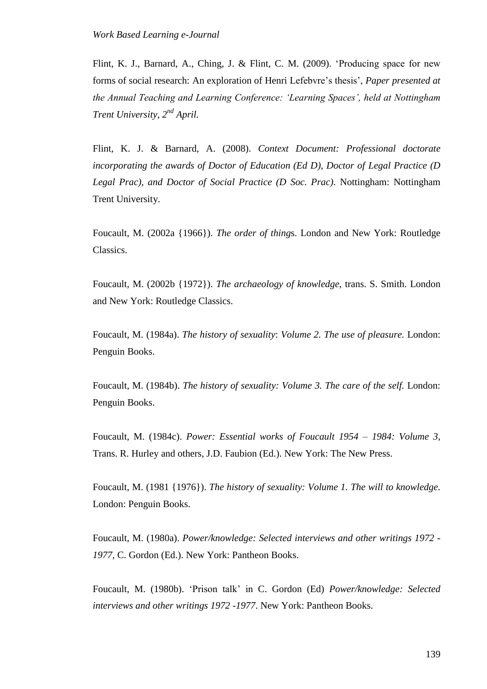Flint, K. J., Barnard, A., Ching, J. & Flint, C. M. (2009). "Producing space for new forms of social research: An exploration of Henri Lefebvre"s thesis", *Paper presented at the Annual Teaching and Learning Conference: 'Learning Spaces', held at Nottingham Trent University, 2nd April.*

Flint, K. J. & Barnard, A. (2008). *Context Document: Professional doctorate incorporating the awards of Doctor of Education (Ed D), Doctor of Legal Practice (D Legal Prac), and Doctor of Social Practice (D Soc. Prac)*. Nottingham: Nottingham Trent University.

Foucault, M. (2002a {1966}). *The order of thing*s. London and New York: Routledge Classics.

Foucault, M. (2002b {1972}). *The archaeology of knowledge*, trans. S. Smith. London and New York: Routledge Classics.

Foucault, M. (1984a). *The history of sexuality*: *Volume 2. The use of pleasure.* London: Penguin Books.

Foucault, M. (1984b). *The history of sexuality: Volume 3. The care of the self.* London: Penguin Books.

Foucault, M. (1984c). *Power: Essential works of Foucault 1954 – 1984: Volume 3,* Trans. R. Hurley and others, J.D. Faubion (Ed.). New York: The New Press.

Foucault, M. (1981 {1976}). *The history of sexuality: Volume 1. The will to knowledge.*  London: Penguin Books.

Foucault, M. (1980a). *Power/knowledge: Selected interviews and other writings 1972 - 1977*, C. Gordon (Ed.). New York: Pantheon Books.

Foucault, M. (1980b). "Prison talk" in C. Gordon (Ed) *Power/knowledge: Selected interviews and other writings 1972 -1977*. New York: Pantheon Books.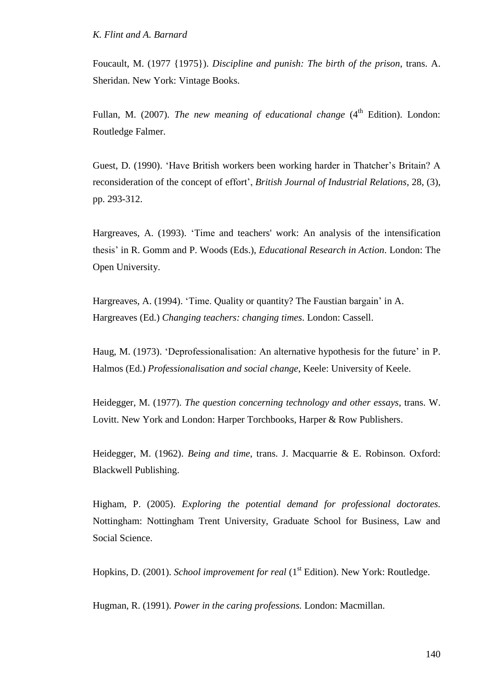Foucault, M. (1977 {1975}). *Discipline and punish: The birth of the prison*, trans. A. Sheridan. New York: Vintage Books.

Fullan, M. (2007). *The new meaning of educational change* (4<sup>th</sup> Edition). London: Routledge Falmer.

Guest, D. (1990). "Have British workers been working harder in Thatcher"s Britain? A reconsideration of the concept of effort", *British Journal of Industrial Relations*, 28, (3), pp. 293-312.

Hargreaves, A. (1993). "Time and teachers' work: An analysis of the intensification thesis" in R. Gomm and P. Woods (Eds.), *Educational Research in Action*. London: The Open University.

Hargreaves, A. (1994). "Time. Quality or quantity? The Faustian bargain" in A. Hargreaves (Ed.) *Changing teachers: changing times*. London: Cassell.

Haug, M. (1973). 'Deprofessionalisation: An alternative hypothesis for the future' in P. Halmos (Ed.) *Professionalisation and social change*, Keele: University of Keele.

Heidegger, M. (1977). *The question concerning technology and other essays*, trans. W. Lovitt. New York and London: Harper Torchbooks, Harper & Row Publishers.

Heidegger, M. (1962). *Being and time*, trans. J. Macquarrie & E. Robinson. Oxford: Blackwell Publishing.

Higham, P. (2005). *Exploring the potential demand for professional doctorates.* Nottingham: Nottingham Trent University, Graduate School for Business, Law and Social Science.

Hopkins, D. (2001). *School improvement for real* (1<sup>st</sup> Edition). New York: Routledge.

Hugman, R. (1991). *Power in the caring professions.* London: Macmillan.